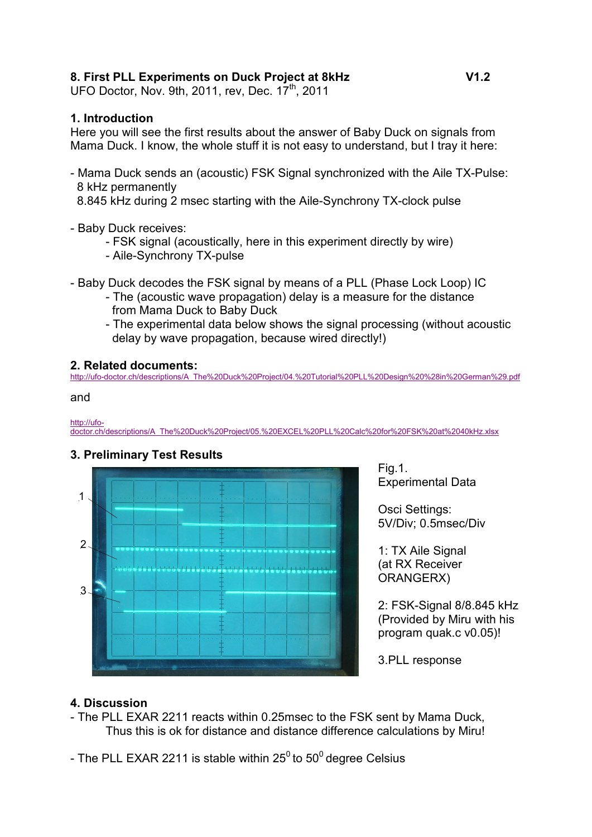### **8. First PLL Experiments on Duck Project at 8kHz V1.2**

UFO Doctor, Nov. 9th, 2011, rev, Dec.  $17<sup>th</sup>$ , 2011

### **1. Introduction**

Here you will see the first results about the answer of Baby Duck on signals from Mama Duck. I know, the whole stuff it is not easy to understand, but I tray it here:

- Mama Duck sends an (acoustic) FSK Signal synchronized with the Aile TX-Pulse: 8 kHz permanently

8.845 kHz during 2 msec starting with the Aile-Synchrony TX-clock pulse

- Baby Duck receives:
	- FSK signal (acoustically, here in this experiment directly by wire)
	- Aile-Synchrony TX-pulse

- Baby Duck decodes the FSK signal by means of a PLL (Phase Lock Loop) IC

- The (acoustic wave propagation) delay is a measure for the distance from Mama Duck to Baby Duck
- The experimental data below shows the signal processing (without acoustic delay by wave propagation, because wired directly!)

### **2. Related documents:**

http://ufo-doctor.ch/descriptions/A\_The%20Duck%20Project/04.%20Tutorial%20PLL%20Design%20%28in%20German%29.pdf

and

http://ufo-

doctor.ch/descriptions/A\_The%20Duck%20Project/05.%20EXCEL%20PLL%20Calc%20for%20FSK%20at%2040kHz.xlsx

# **3. Preliminary Test Results**



Fig.1. Experimental Data

Osci Settings: 5V/Div; 0.5msec/Div

1: TX Aile Signal (at RX Receiver ORANGERX)

2: FSK-Signal 8/8.845 kHz (Provided by Miru with his program quak.c v0.05)!

3.PLL response

# **4. Discussion**

- The PLL EXAR 2211 reacts within 0.25msec to the FSK sent by Mama Duck, Thus this is ok for distance and distance difference calculations by Miru!
- The PLL EXAR 2211 is stable within  $25^0$  to  $50^0$  degree Celsius